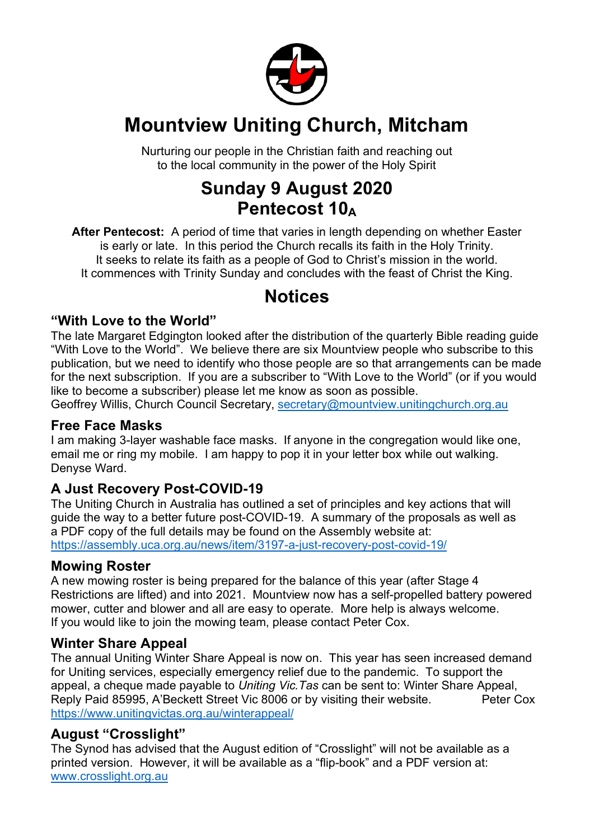

## **Mountview Uniting Church, Mitcham**

Nurturing our people in the Christian faith and reaching out to the local community in the power of the Holy Spirit

## **Sunday 9 August 2020 Pentecost 10**<sup>A</sup>

**After Pentecost:** A period of time that varies in length depending on whether Easter is early or late. In this period the Church recalls its faith in the Holy Trinity. It seeks to relate its faith as a people of God to Christ's mission in the world. It commences with Trinity Sunday and concludes with the feast of Christ the King.

## **Notices**

#### **"With Love to the World"**

The late Margaret Edgington looked after the distribution of the quarterly Bible reading guide "With Love to the World". We believe there are six Mountview people who subscribe to this publication, but we need to identify who those people are so that arrangements can be made for the next subscription. If you are a subscriber to "With Love to the World" (or if you would like to become a subscriber) please let me know as soon as possible.

Geoffrey Willis, Church Council Secretary, secretary@mountview.unitingchurch.org.au

#### **Free Face Masks**

I am making 3-layer washable face masks. If anyone in the congregation would like one, email me or ring my mobile. I am happy to pop it in your letter box while out walking. Denyse Ward.

#### **A Just Recovery Post-COVID-19**

The Uniting Church in Australia has outlined a set of principles and key actions that will guide the way to a better future post-COVID-19. A summary of the proposals as well as a PDF copy of the full details may be found on the Assembly website at: https://assembly.uca.org.au/news/item/3197-a-just-recovery-post-covid-19/

#### **Mowing Roster**

A new mowing roster is being prepared for the balance of this year (after Stage 4 Restrictions are lifted) and into 2021. Mountview now has a self-propelled battery powered mower, cutter and blower and all are easy to operate. More help is always welcome. If you would like to join the mowing team, please contact Peter Cox.

#### **Winter Share Appeal**

The annual Uniting Winter Share Appeal is now on. This year has seen increased demand for Uniting services, especially emergency relief due to the pandemic. To support the appeal, a cheque made payable to *Uniting Vic.Tas* can be sent to: Winter Share Appeal, Reply Paid 85995, A'Beckett Street Vic 8006 or by visiting their website. Peter Cox https://www.unitingvictas.org.au/winterappeal/

#### **August "Crosslight"**

The Synod has advised that the August edition of "Crosslight" will not be available as a printed version. However, it will be available as a "flip-book" and a PDF version at: www.crosslight.org.au